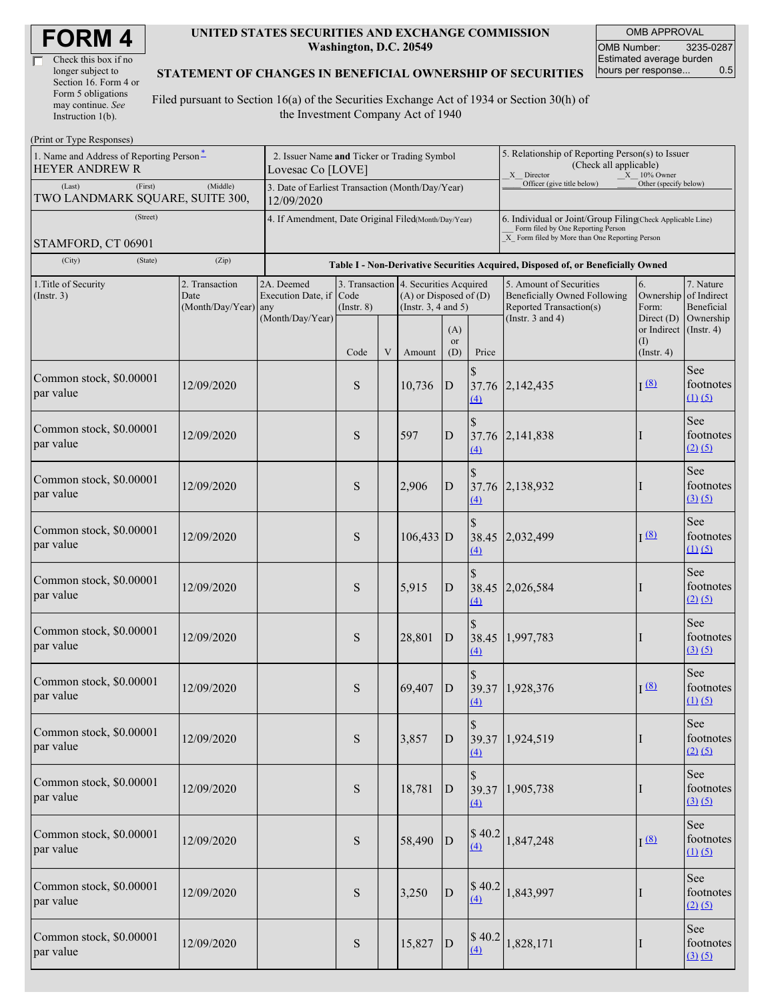| Check this box if no  |
|-----------------------|
| longer subject to     |
| Section 16. Form 4 or |
| Form 5 obligations    |
| may continue. See     |
| Instruction $1(b)$ .  |

#### **UNITED STATES SECURITIES AND EXCHANGE COMMISSION Washington, D.C. 20549**

OMB APPROVAL OMB Number: 3235-0287 Estimated average burden<br>hours per response... 0.5 hours per response...

#### **STATEMENT OF CHANGES IN BENEFICIAL OWNERSHIP OF SECURITIES**

Filed pursuant to Section 16(a) of the Securities Exchange Act of 1934 or Section 30(h) of the Investment Company Act of 1940

| (Print or Type Responses)                                                     |                                                                                       |                                                                                  |                         |   |                                                                                                 |                  |                                                                                                                                                    |                                                                                         |                                                         |                                        |  |
|-------------------------------------------------------------------------------|---------------------------------------------------------------------------------------|----------------------------------------------------------------------------------|-------------------------|---|-------------------------------------------------------------------------------------------------|------------------|----------------------------------------------------------------------------------------------------------------------------------------------------|-----------------------------------------------------------------------------------------|---------------------------------------------------------|----------------------------------------|--|
| 1. Name and Address of Reporting Person <sup>*</sup><br><b>HEYER ANDREW R</b> | 2. Issuer Name and Ticker or Trading Symbol<br>Lovesac Co [LOVE]                      |                                                                                  |                         |   |                                                                                                 |                  | 5. Relationship of Reporting Person(s) to Issuer<br>(Check all applicable)<br>X Director<br>X 10% Owner                                            |                                                                                         |                                                         |                                        |  |
| (Middle)<br>(Last)<br>(First)<br>TWO LANDMARK SQUARE, SUITE 300,              |                                                                                       | 3. Date of Earliest Transaction (Month/Day/Year)<br>12/09/2020                   |                         |   |                                                                                                 |                  |                                                                                                                                                    | Officer (give title below)                                                              | Other (specify below)                                   |                                        |  |
| (Street)                                                                      |                                                                                       | 4. If Amendment, Date Original Filed(Month/Day/Year)                             |                         |   |                                                                                                 |                  | 6. Individual or Joint/Group Filing Check Applicable Line)<br>Form filed by One Reporting Person<br>X Form filed by More than One Reporting Person |                                                                                         |                                                         |                                        |  |
| STAMFORD, CT 06901<br>(City)<br>(State)                                       |                                                                                       | Table I - Non-Derivative Securities Acquired, Disposed of, or Beneficially Owned |                         |   |                                                                                                 |                  |                                                                                                                                                    |                                                                                         |                                                         |                                        |  |
| 1. Title of Security                                                          | (Zip)<br>2. Transaction<br>2A. Deemed                                                 |                                                                                  |                         |   | 3. Transaction 4. Securities Acquired<br>$(A)$ or Disposed of $(D)$<br>(Instr. $3, 4$ and $5$ ) |                  |                                                                                                                                                    | 5. Amount of Securities                                                                 | 6.<br>Ownership of Indirect<br>Form:<br>Direct $(D)$    | 7. Nature<br>Beneficial<br>Ownership   |  |
|                                                                               | (Insert. 3)<br>Date<br>Execution Date, if<br>(Month/Day/Year) any<br>(Month/Day/Year) |                                                                                  | Code<br>$($ Instr. $8)$ |   |                                                                                                 |                  |                                                                                                                                                    | <b>Beneficially Owned Following</b><br>Reported Transaction(s)<br>(Instr. $3$ and $4$ ) |                                                         |                                        |  |
|                                                                               |                                                                                       |                                                                                  | Code                    | V | Amount                                                                                          | (A)<br>or<br>(D) | Price                                                                                                                                              |                                                                                         | or Indirect $($ Instr. 4 $)$<br>(I)<br>$($ Instr. 4 $)$ |                                        |  |
| Common stock, \$0.00001<br>par value                                          | 12/09/2020                                                                            |                                                                                  | ${\bf S}$               |   | 10,736                                                                                          | D                | (4)                                                                                                                                                | 37.76 2,142,435                                                                         | $I^{(8)}$                                               | See<br>footnotes<br>$(1)$ $(5)$        |  |
| Common stock, \$0.00001<br>par value                                          | 12/09/2020                                                                            |                                                                                  | S                       |   | 597                                                                                             | D                | (4)                                                                                                                                                | 37.76 2,141,838                                                                         |                                                         | See<br>footnotes<br>$(2)$ $(5)$        |  |
| Common stock, \$0.00001<br>par value                                          | 12/09/2020                                                                            |                                                                                  | S                       |   | 2,906                                                                                           | D                | $\mathbf{\hat{s}}$<br>$\triangle$                                                                                                                  | 37.76 2,138,932                                                                         |                                                         | See<br>footnotes<br>(3)(5)             |  |
| Common stock, \$0.00001<br>par value                                          | 12/09/2020                                                                            |                                                                                  | S                       |   | $106,433$ D                                                                                     |                  | (4)                                                                                                                                                | 38.45 2,032,499                                                                         | I(8)                                                    | See<br>footnotes<br>$(1)$ $(5)$        |  |
| Common stock, \$0.00001<br>par value                                          | 12/09/2020                                                                            |                                                                                  | S                       |   | 5,915                                                                                           | D                | (4)                                                                                                                                                | 38.45 2,026,584                                                                         |                                                         | See<br>footnotes<br>$(2)$ $(5)$        |  |
| Common stock, \$0.00001<br>par value                                          | 12/09/2020                                                                            |                                                                                  | S                       |   | 28,801                                                                                          | D                | \$<br>38.45<br>$\overline{(4)}$                                                                                                                    | 1,997,783                                                                               |                                                         | See<br>footnotes<br>(3)(5)             |  |
| Common stock, \$0.00001<br>par value                                          | 12/09/2020                                                                            |                                                                                  | S                       |   | 69,407                                                                                          | $\overline{D}$   | $\underline{(4)}$                                                                                                                                  | 39.37 1,928,376                                                                         | I(8)                                                    | See<br>footnotes<br>$(1)$ $(5)$        |  |
| Common stock, \$0.00001<br>par value                                          | 12/09/2020                                                                            |                                                                                  | ${\bf S}$               |   | 3,857                                                                                           | D                | $\left(4\right)$                                                                                                                                   | 39.37 1,924,519                                                                         | $\bf{l}$                                                | See<br>footnotes<br>(2) (5)            |  |
| Common stock, \$0.00001<br>par value                                          | 12/09/2020                                                                            |                                                                                  | S                       |   | 18,781                                                                                          | D                | $\Delta$                                                                                                                                           | 39.37 1,905,738                                                                         | $\bf{l}$                                                | See<br>footnotes<br>(3)(5)             |  |
| Common stock, \$0.00001<br>par value                                          | 12/09/2020                                                                            |                                                                                  | S                       |   | 58,490                                                                                          | D                | \$40.2<br>(4)                                                                                                                                      | 1,847,248                                                                               | I(8)                                                    | <b>See</b><br>footnotes<br>$(1)$ $(5)$ |  |
| Common stock, \$0.00001<br>par value                                          | 12/09/2020                                                                            |                                                                                  | ${\bf S}$               |   | 3,250                                                                                           | ${\bf D}$        | \$40.2<br>(4)                                                                                                                                      | 1,843,997                                                                               | Ι                                                       | See<br>footnotes<br>(2) (5)            |  |
| Common stock, \$0.00001<br>par value                                          | 12/09/2020                                                                            |                                                                                  | ${\bf S}$               |   | 15,827                                                                                          | D                | \$40.2<br>$\Delta$                                                                                                                                 | 1,828,171                                                                               | I                                                       | <b>See</b><br>footnotes<br>(3)(5)      |  |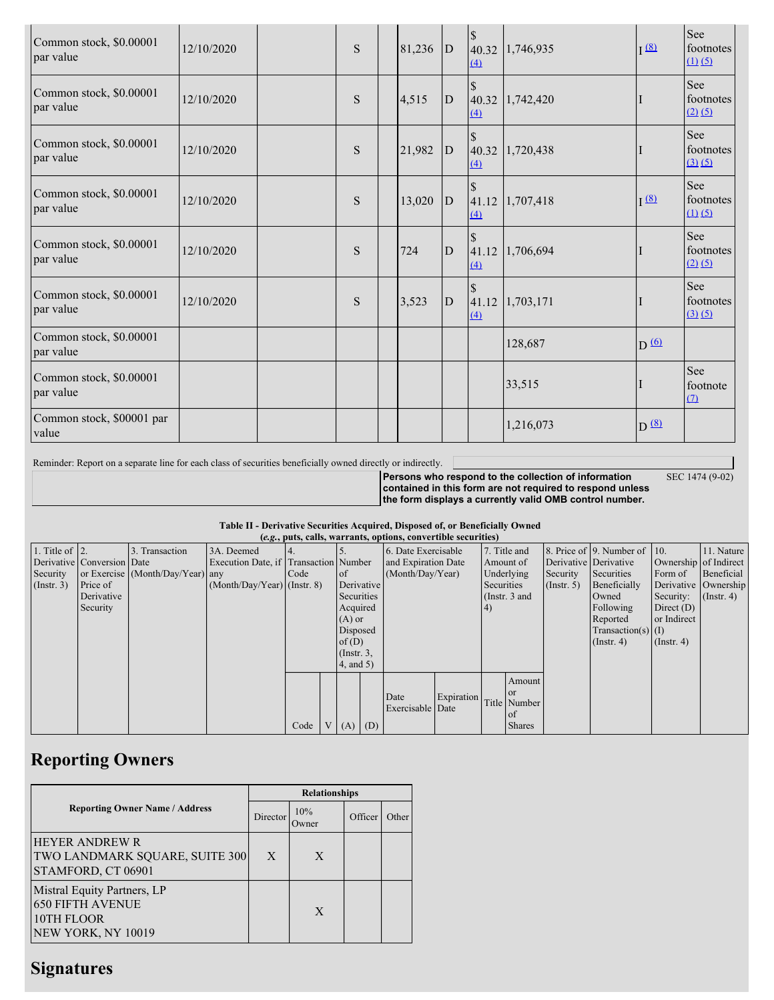| Common stock, \$0.00001<br>par value | 12/10/2020 | S | 81,236 | D            | $\Delta$                       | 40.32 1,746,935 | I(8)                | See<br>footnotes<br>(1) (5)       |
|--------------------------------------|------------|---|--------|--------------|--------------------------------|-----------------|---------------------|-----------------------------------|
| Common stock, \$0.00001<br>par value | 12/10/2020 | S | 4,515  | $\mathbf{D}$ | $\mathcal{S}$<br>(4)           | 40.32 1,742,420 |                     | See<br>footnotes<br>(2) (5)       |
| Common stock, \$0.00001<br>par value | 12/10/2020 | S | 21,982 | D            | $\Delta$                       | 40.32 1,720,438 |                     | <b>See</b><br>footnotes<br>(3)(5) |
| Common stock, \$0.00001<br>par value | 12/10/2020 | S | 13,020 | $\mathbf{D}$ | $\mathcal{S}$<br>(4)           | 41.12 1,707,418 | I <sup>(8)</sup>    | See<br>footnotes<br>(1) (5)       |
| Common stock, \$0.00001<br>par value | 12/10/2020 | S | 724    | $\mathbf{D}$ | (4)                            | 41.12 1,706,694 |                     | See<br>footnotes<br>$(2)$ $(5)$   |
| Common stock, \$0.00001<br>par value | 12/10/2020 | S | 3,523  | D            | $\mathbf{\hat{S}}$<br>$\Delta$ | 41.12 1,703,171 |                     | <b>See</b><br>footnotes<br>(3)(5) |
| Common stock, \$0.00001<br>par value |            |   |        |              |                                | 128,687         | $D \nightharpoonup$ |                                   |
| Common stock, \$0.00001<br>par value |            |   |        |              |                                | 33,515          |                     | See<br>footnote<br>(7)            |
| Common stock, \$00001 par<br>value   |            |   |        |              |                                | 1,216,073       | $D^{(8)}$           |                                   |

Reminder: Report on a separate line for each class of securities beneficially owned directly or indirectly. [

SEC 1474 (9-02)

**Persons who respond to the collection of information contained in this form are not required to respond unless the form displays a currently valid OMB control number.**

### **Table II - Derivative Securities Acquired, Disposed of, or Beneficially Owned**

|                        |                            |                                  |                                       |      |                 |            | (e.g., puts, calls, warrants, options, convertible securities) |            |            |                 |                  |                              |                       |                      |
|------------------------|----------------------------|----------------------------------|---------------------------------------|------|-----------------|------------|----------------------------------------------------------------|------------|------------|-----------------|------------------|------------------------------|-----------------------|----------------------|
| 1. Title of $\vert$ 2. |                            | 3. Transaction                   | 3A. Deemed                            |      |                 |            | 6. Date Exercisable                                            |            |            | 7. Title and    |                  | 8. Price of 9. Number of 10. |                       | 11. Nature           |
|                        | Derivative Conversion Date |                                  | Execution Date, if Transaction Number |      |                 |            | and Expiration Date                                            |            |            | Amount of       |                  | Derivative Derivative        | Ownership of Indirect |                      |
| Security               |                            | or Exercise (Month/Day/Year) any |                                       | Code | $\circ$ f       |            | (Month/Day/Year)                                               |            |            | Underlying      | Security         | Securities                   | Form of               | Beneficial           |
| $($ Instr. 3 $)$       | Price of                   |                                  | $(Month/Day/Year)$ (Instr. 8)         |      |                 | Derivative |                                                                |            | Securities |                 | $($ Instr. 5 $)$ | Beneficially                 |                       | Derivative Ownership |
|                        | Derivative                 |                                  |                                       |      | Securities      |            |                                                                |            |            | (Instr. $3$ and |                  | Owned                        | Security:             | $($ Instr. 4 $)$     |
|                        | Security                   |                                  |                                       |      | Acquired        |            |                                                                |            | (4)        |                 |                  | Following                    | Direct $(D)$          |                      |
|                        |                            |                                  |                                       |      | $(A)$ or        |            |                                                                |            |            |                 |                  | Reported                     | or Indirect           |                      |
|                        |                            |                                  |                                       |      | Disposed        |            |                                                                |            |            |                 |                  | $Transaction(s)$ (I)         |                       |                      |
|                        |                            |                                  |                                       |      | of(D)           |            |                                                                |            |            |                 |                  | $($ Instr. 4 $)$             | $($ Instr. 4 $)$      |                      |
|                        |                            |                                  |                                       |      | $($ Instr. $3,$ |            |                                                                |            |            |                 |                  |                              |                       |                      |
|                        |                            |                                  |                                       |      | 4, and 5)       |            |                                                                |            |            |                 |                  |                              |                       |                      |
|                        |                            |                                  |                                       |      |                 |            |                                                                |            |            | Amount          |                  |                              |                       |                      |
|                        |                            |                                  |                                       |      |                 |            | Date                                                           | Expiration |            | <b>or</b>       |                  |                              |                       |                      |
|                        |                            |                                  |                                       |      |                 |            | Exercisable Date                                               |            |            | Title Number    |                  |                              |                       |                      |
|                        |                            |                                  |                                       |      |                 |            |                                                                |            |            | of              |                  |                              |                       |                      |
|                        |                            |                                  |                                       | Code | $(A)$ $(D)$     |            |                                                                |            |            | <b>Shares</b>   |                  |                              |                       |                      |

## **Reporting Owners**

|                                                                                            | <b>Relationships</b> |               |         |       |  |  |  |  |
|--------------------------------------------------------------------------------------------|----------------------|---------------|---------|-------|--|--|--|--|
| <b>Reporting Owner Name / Address</b>                                                      | Director             | 10%<br>Owner) | Officer | Other |  |  |  |  |
| <b>HEYER ANDREW R</b><br>TWO LANDMARK SQUARE, SUITE 300<br>STAMFORD, CT 06901              | X                    | X             |         |       |  |  |  |  |
| Mistral Equity Partners, LP<br><b>650 FIFTH AVENUE</b><br>10TH FLOOR<br>NEW YORK, NY 10019 |                      | X             |         |       |  |  |  |  |

# **Signatures**